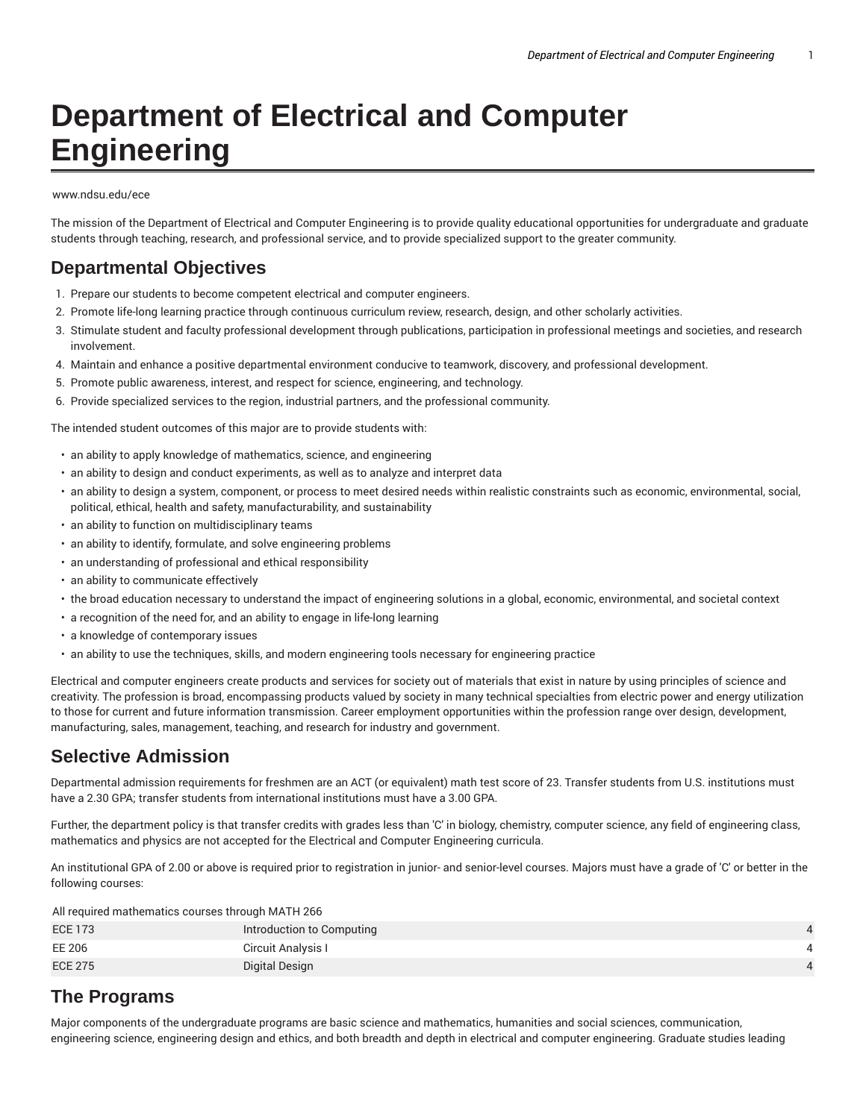# **Department of Electrical and Computer Engineering**

#### www.ndsu.edu/ece

The mission of the Department of Electrical and Computer Engineering is to provide quality educational opportunities for undergraduate and graduate students through teaching, research, and professional service, and to provide specialized support to the greater community.

### **Departmental Objectives**

- 1. Prepare our students to become competent electrical and computer engineers.
- 2. Promote life-long learning practice through continuous curriculum review, research, design, and other scholarly activities.
- 3. Stimulate student and faculty professional development through publications, participation in professional meetings and societies, and research involvement.
- 4. Maintain and enhance a positive departmental environment conducive to teamwork, discovery, and professional development.
- 5. Promote public awareness, interest, and respect for science, engineering, and technology.
- 6. Provide specialized services to the region, industrial partners, and the professional community.

The intended student outcomes of this major are to provide students with:

- an ability to apply knowledge of mathematics, science, and engineering
- an ability to design and conduct experiments, as well as to analyze and interpret data
- an ability to design a system, component, or process to meet desired needs within realistic constraints such as economic, environmental, social, political, ethical, health and safety, manufacturability, and sustainability
- an ability to function on multidisciplinary teams
- an ability to identify, formulate, and solve engineering problems
- an understanding of professional and ethical responsibility
- an ability to communicate effectively
- the broad education necessary to understand the impact of engineering solutions in a global, economic, environmental, and societal context
- a recognition of the need for, and an ability to engage in life-long learning
- a knowledge of contemporary issues
- an ability to use the techniques, skills, and modern engineering tools necessary for engineering practice

Electrical and computer engineers create products and services for society out of materials that exist in nature by using principles of science and creativity. The profession is broad, encompassing products valued by society in many technical specialties from electric power and energy utilization to those for current and future information transmission. Career employment opportunities within the profession range over design, development, manufacturing, sales, management, teaching, and research for industry and government.

## **Selective Admission**

Departmental admission requirements for freshmen are an ACT (or equivalent) math test score of 23. Transfer students from U.S. institutions must have a 2.30 GPA; transfer students from international institutions must have a 3.00 GPA.

Further, the department policy is that transfer credits with grades less than 'C' in biology, chemistry, computer science, any field of engineering class, mathematics and physics are not accepted for the Electrical and Computer Engineering curricula.

An institutional GPA of 2.00 or above is required prior to registration in junior- and senior-level courses. Majors must have a grade of 'C' or better in the following courses:

All required mathematics courses through MATH 266

| <b>ECE 173</b> | Introduction to Computing |  |
|----------------|---------------------------|--|
| EE 206         | Circuit Analysis I        |  |
| <b>ECE 275</b> | Digital Design            |  |

## **The Programs**

Major components of the undergraduate programs are basic science and mathematics, humanities and social sciences, communication, engineering science, engineering design and ethics, and both breadth and depth in electrical and computer engineering. Graduate studies leading